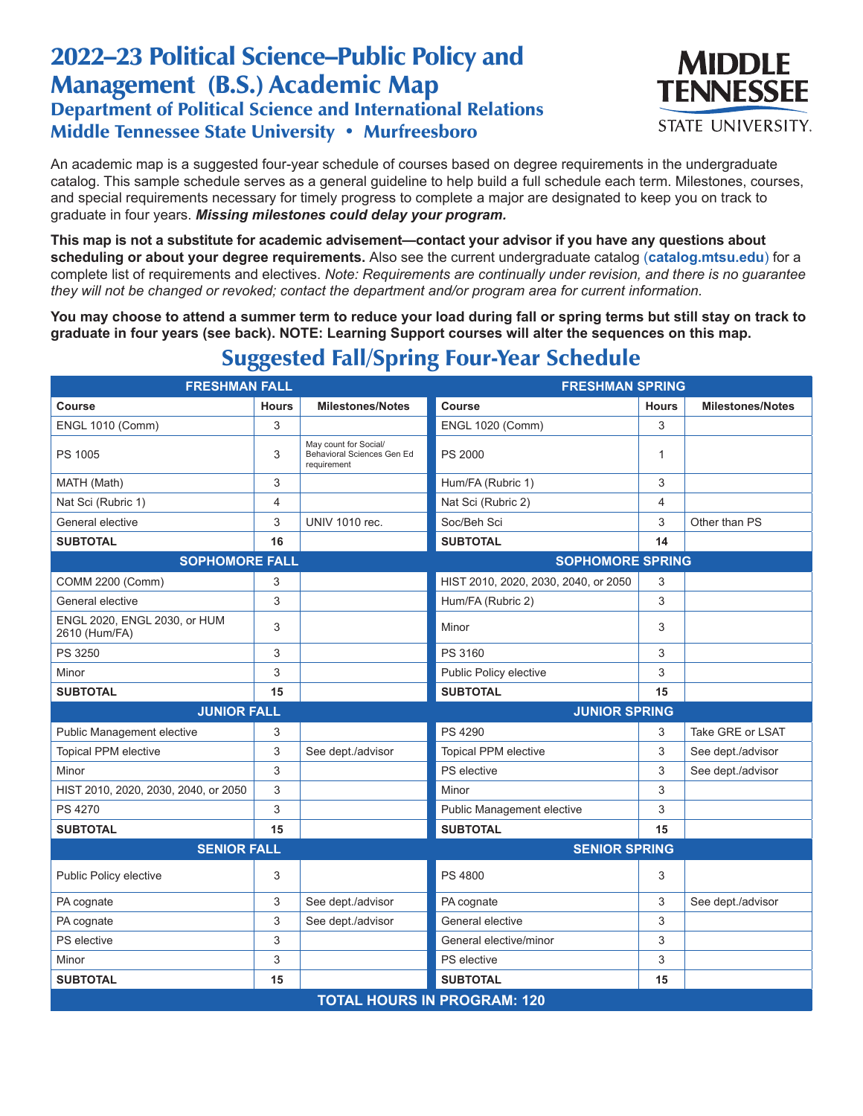## 2022–23 Political Science–Public Policy and Management (B.S.) Academic Map Department of Political Science and International Relations Middle Tennessee State University • Murfreesboro



An academic map is a suggested four-year schedule of courses based on degree requirements in the undergraduate catalog. This sample schedule serves as a general guideline to help build a full schedule each term. Milestones, courses, and special requirements necessary for timely progress to complete a major are designated to keep you on track to graduate in four years. *Missing milestones could delay your program.*

**This map is not a substitute for academic advisement—contact your advisor if you have any questions about scheduling or about your degree requirements.** Also see the current undergraduate catalog (**catalog.mtsu.edu**) for a complete list of requirements and electives. *Note: Requirements are continually under revision, and there is no guarantee they will not be changed or revoked; contact the department and/or program area for current information.*

**You may choose to attend a summer term to reduce your load during fall or spring terms but still stay on track to graduate in four years (see back). NOTE: Learning Support courses will alter the sequences on this map.**

| <b>FRESHMAN FALL</b>                          |              |                                                                    | <b>FRESHMAN SPRING</b>               |              |                         |  |  |  |
|-----------------------------------------------|--------------|--------------------------------------------------------------------|--------------------------------------|--------------|-------------------------|--|--|--|
| Course                                        | <b>Hours</b> | <b>Milestones/Notes</b>                                            | Course                               | <b>Hours</b> | <b>Milestones/Notes</b> |  |  |  |
| <b>ENGL 1010 (Comm)</b>                       | 3            |                                                                    | <b>ENGL 1020 (Comm)</b>              | 3            |                         |  |  |  |
| PS 1005                                       | 3            | May count for Social/<br>Behavioral Sciences Gen Ed<br>requirement | <b>PS 2000</b>                       | $\mathbf{1}$ |                         |  |  |  |
| MATH (Math)                                   | 3            |                                                                    | Hum/FA (Rubric 1)                    | 3            |                         |  |  |  |
| Nat Sci (Rubric 1)                            | 4            |                                                                    | Nat Sci (Rubric 2)                   | 4            |                         |  |  |  |
| General elective                              | 3            | <b>UNIV 1010 rec.</b>                                              | Soc/Beh Sci                          | 3            | Other than PS           |  |  |  |
| <b>SUBTOTAL</b>                               | 16           |                                                                    | <b>SUBTOTAL</b>                      | 14           |                         |  |  |  |
| <b>SOPHOMORE FALL</b>                         |              |                                                                    | <b>SOPHOMORE SPRING</b>              |              |                         |  |  |  |
| COMM 2200 (Comm)                              | 3            |                                                                    | HIST 2010, 2020, 2030, 2040, or 2050 | 3            |                         |  |  |  |
| General elective                              | 3            |                                                                    | Hum/FA (Rubric 2)                    | 3            |                         |  |  |  |
| ENGL 2020, ENGL 2030, or HUM<br>2610 (Hum/FA) | 3            |                                                                    | Minor                                | 3            |                         |  |  |  |
| PS 3250                                       | 3            |                                                                    | PS 3160                              | 3            |                         |  |  |  |
| Minor                                         | 3            |                                                                    | Public Policy elective               | 3            |                         |  |  |  |
| <b>SUBTOTAL</b>                               | 15           |                                                                    | <b>SUBTOTAL</b>                      | 15           |                         |  |  |  |
| <b>JUNIOR FALL</b>                            |              |                                                                    | <b>JUNIOR SPRING</b>                 |              |                         |  |  |  |
| Public Management elective                    | 3            |                                                                    | PS 4290                              | 3            | Take GRE or LSAT        |  |  |  |
| <b>Topical PPM elective</b>                   | 3            | See dept./advisor                                                  | <b>Topical PPM elective</b>          | 3            | See dept./advisor       |  |  |  |
| Minor                                         | 3            |                                                                    | PS elective                          | 3            | See dept./advisor       |  |  |  |
| HIST 2010, 2020, 2030, 2040, or 2050          | 3            |                                                                    | Minor                                | 3            |                         |  |  |  |
| PS 4270                                       | 3            |                                                                    | Public Management elective           | 3            |                         |  |  |  |
| <b>SUBTOTAL</b>                               | 15           |                                                                    | <b>SUBTOTAL</b>                      | 15           |                         |  |  |  |
| <b>SENIOR FALL</b>                            |              |                                                                    | <b>SENIOR SPRING</b>                 |              |                         |  |  |  |
| Public Policy elective                        | 3            |                                                                    | PS 4800                              | 3            |                         |  |  |  |
| PA cognate                                    | 3            | See dept./advisor                                                  | PA cognate                           | 3            | See dept./advisor       |  |  |  |
| PA cognate                                    | 3            | See dept./advisor                                                  | General elective                     | 3            |                         |  |  |  |
| PS elective                                   | 3            |                                                                    | General elective/minor               | 3            |                         |  |  |  |
| Minor                                         | 3            |                                                                    | <b>PS</b> elective                   | 3            |                         |  |  |  |
| <b>SUBTOTAL</b>                               | 15           |                                                                    | <b>SUBTOTAL</b>                      | 15           |                         |  |  |  |
| <b>TOTAL HOURS IN PROGRAM: 120</b>            |              |                                                                    |                                      |              |                         |  |  |  |

## Suggested Fall/Spring Four-Year Schedule